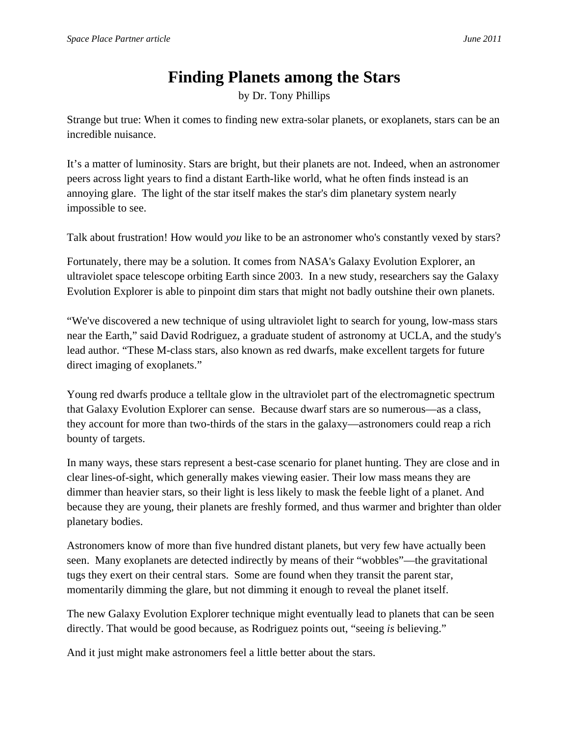## **Finding Planets among the Stars**

by Dr. Tony Phillips

Strange but true: When it comes to finding new extra-solar planets, or exoplanets, stars can be an incredible nuisance.

It's a matter of luminosity. Stars are bright, but their planets are not. Indeed, when an astronomer peers across light years to find a distant Earth-like world, what he often finds instead is an annoying glare. The light of the star itself makes the star's dim planetary system nearly impossible to see.

Talk about frustration! How would *you* like to be an astronomer who's constantly vexed by stars?

Fortunately, there may be a solution. It comes from NASA's Galaxy Evolution Explorer, an ultraviolet space telescope orbiting Earth since 2003. In a new study, researchers say the Galaxy Evolution Explorer is able to pinpoint dim stars that might not badly outshine their own planets.

"We've discovered a new technique of using ultraviolet light to search for young, low-mass stars near the Earth," said David Rodriguez, a graduate student of astronomy at UCLA, and the study's lead author. "These M-class stars, also known as red dwarfs, make excellent targets for future direct imaging of exoplanets."

Young red dwarfs produce a telltale glow in the ultraviolet part of the electromagnetic spectrum that Galaxy Evolution Explorer can sense. Because dwarf stars are so numerous—as a class, they account for more than two-thirds of the stars in the galaxy—astronomers could reap a rich bounty of targets.

In many ways, these stars represent a best-case scenario for planet hunting. They are close and in clear lines-of-sight, which generally makes viewing easier. Their low mass means they are dimmer than heavier stars, so their light is less likely to mask the feeble light of a planet. And because they are young, their planets are freshly formed, and thus warmer and brighter than older planetary bodies.

Astronomers know of more than five hundred distant planets, but very few have actually been seen. Many exoplanets are detected indirectly by means of their "wobbles"—the gravitational tugs they exert on their central stars. Some are found when they transit the parent star, momentarily dimming the glare, but not dimming it enough to reveal the planet itself.

The new Galaxy Evolution Explorer technique might eventually lead to planets that can be seen directly. That would be good because, as Rodriguez points out, "seeing *is* believing."

And it just might make astronomers feel a little better about the stars.